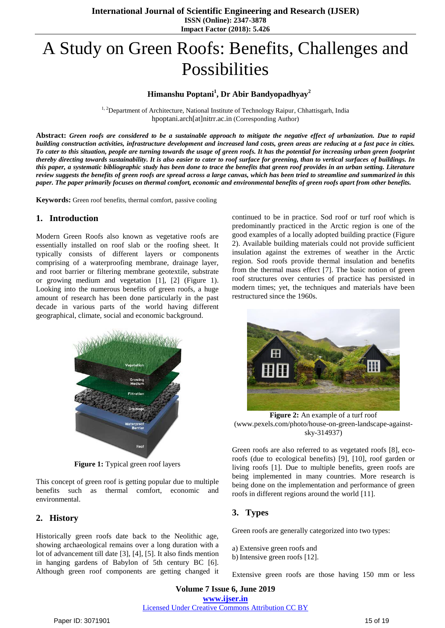# A Study on Green Roofs: Benefits, Challenges and Possibilities

## **Himanshu Poptani<sup>1</sup> , Dr Abir Bandyopadhyay<sup>2</sup>**

<sup>1, 2</sup>Department of Architecture, National Institute of Technology Raipur, Chhattisgarh, India hpoptani.arch[at]nitrr.ac.in (Corresponding Author)

**Abstract:** *Green roofs are considered to be a sustainable approach to mitigate the negative effect of urbanization. Due to rapid building construction activities, infrastructure development and increased land costs, green areas are reducing at a fast pace in cities. To cater to this situation, people are turning towards the usage of green roofs. It has the potential for increasing urban green footprint thereby directing towards sustainability. It is also easier to cater to roof surface for greening, than to vertical surfaces of buildings. In this paper, a systematic bibliographic study has been done to trace the benefits that green roof provides in an urban setting. Literature review suggests the benefits of green roofs are spread across a large canvas, which has been tried to streamline and summarized in this paper. The paper primarily focuses on thermal comfort, economic and environmental benefits of green roofs apart from other benefits.*

**Keywords:** Green roof benefits, thermal comfort, passive cooling

#### **1. Introduction**

Modern Green Roofs also known as vegetative roofs are essentially installed on roof slab or the roofing sheet. It typically consists of different layers or components comprising of a waterproofing membrane, drainage layer, and root barrier or filtering membrane geotextile, substrate or growing medium and vegetation [1], [2] [\(Figure 1\)](#page-0-0). Looking into the numerous benefits of green roofs, a huge amount of research has been done particularly in the past decade in various parts of the world having different geographical, climate, social and economic background.



**Figure 1:** Typical green roof layers

<span id="page-0-0"></span>This concept of green roof is getting popular due to multiple benefits such as thermal comfort, economic and environmental.

#### **2. History**

Historically green roofs date back to the Neolithic age, showing archaeological remains over a long duration with a lot of advancement till date [3], [4], [5]. It also finds mention in hanging gardens of Babylon of 5th century BC [6]. Although green roof components are getting changed it continued to be in practice. Sod roof or turf roof which is predominantly practiced in the Arctic region is one of the good examples of a locally adopted building practice [\(Figure](#page-0-1)  [2\)](#page-0-1). Available building materials could not provide sufficient insulation against the extremes of weather in the Arctic region. Sod roofs provide thermal insulation and benefits from the thermal mass effect [7]. The basic notion of green roof structures over centuries of practice has persisted in modern times; yet, the techniques and materials have been restructured since the 1960s.



**Figure 2:** An example of a turf roof (www.pexels.com/photo/house-on-green-landscape-againstsky-314937)

<span id="page-0-1"></span>Green roofs are also referred to as vegetated roofs [8], ecoroofs (due to ecological benefits) [9], [10], roof garden or living roofs [1]. Due to multiple benefits, green roofs are being implemented in many countries. More research is being done on the implementation and performance of green roofs in different regions around the world [11].

## **3. Types**

Green roofs are generally categorized into two types:

- a) Extensive green roofs and
- b) Intensive green roofs [12].

Extensive green roofs are those having 150 mm or less

**Volume 7 Issue 6, June 2019 www.ijser.in** Licensed Under Creative Commons Attribution CC BY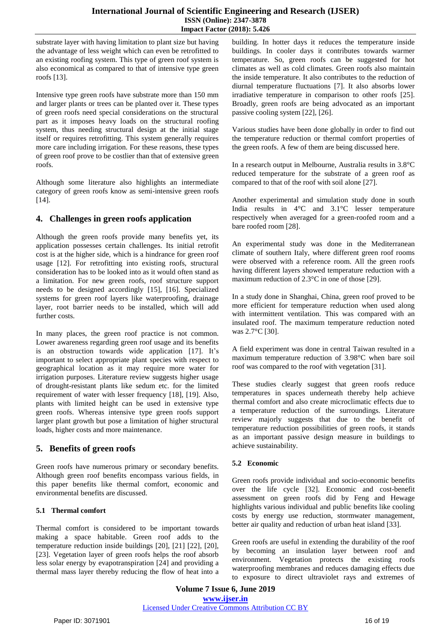#### **International Journal of Scientific Engineering and Research (IJSER) ISSN (Online): 2347-3878 Impact Factor (2018): 5.426**

substrate layer with having limitation to plant size but having the advantage of less weight which can even be retrofitted to an existing roofing system. This type of green roof system is also economical as compared to that of intensive type green roofs [13].

Intensive type green roofs have substrate more than 150 mm and larger plants or trees can be planted over it. These types of green roofs need special considerations on the structural part as it imposes heavy loads on the structural roofing system, thus needing structural design at the initial stage itself or requires retrofitting. This system generally requires more care including irrigation. For these reasons, these types of green roof prove to be costlier than that of extensive green roofs.

Although some literature also highlights an intermediate category of green roofs know as semi-intensive green roofs [14].

# **4. Challenges in green roofs application**

Although the green roofs provide many benefits yet, its application possesses certain challenges. Its initial retrofit cost is at the higher side, which is a hindrance for green roof usage [12]. For retrofitting into existing roofs, structural consideration has to be looked into as it would often stand as a limitation. For new green roofs, roof structure support needs to be designed accordingly [15], [16]. Specialized systems for green roof layers like waterproofing, drainage layer, root barrier needs to be installed, which will add further costs.

In many places, the green roof practice is not common. Lower awareness regarding green roof usage and its benefits is an obstruction towards wide application [17]. It's important to select appropriate plant species with respect to geographical location as it may require more water for irrigation purposes. Literature review suggests higher usage of drought-resistant plants like sedum etc. for the limited requirement of water with lesser frequency [18], [19]. Also, plants with limited height can be used in extensive type green roofs. Whereas intensive type green roofs support larger plant growth but pose a limitation of higher structural loads, higher costs and more maintenance.

## **5. Benefits of green roofs**

Green roofs have numerous primary or secondary benefits. Although green roof benefits encompass various fields, in this paper benefits like thermal comfort, economic and environmental benefits are discussed.

## **5.1 Thermal comfort**

Thermal comfort is considered to be important towards making a space habitable. Green roof adds to the temperature reduction inside buildings [20], [21] [22], [20], [23]. Vegetation layer of green roofs helps the roof absorb less solar energy by evapotranspiration [24] and providing a thermal mass layer thereby reducing the flow of heat into a building. In hotter days it reduces the temperature inside buildings. In cooler days it contributes towards warmer temperature. So, green roofs can be suggested for hot climates as well as cold climates. Green roofs also maintain the inside temperature. It also contributes to the reduction of diurnal temperature fluctuations [7]. It also absorbs lower irradiative temperature in comparison to other roofs [25]. Broadly, green roofs are being advocated as an important passive cooling system [22], [26].

Various studies have been done globally in order to find out the temperature reduction or thermal comfort properties of the green roofs. A few of them are being discussed here.

In a research output in Melbourne, Australia results in 3.8°C reduced temperature for the substrate of a green roof as compared to that of the roof with soil alone [27].

Another experimental and simulation study done in south India results in 4°C and 3.1°C lesser temperature respectively when averaged for a green-roofed room and a bare roofed room [28].

An experimental study was done in the Mediterranean climate of southern Italy, where different green roof rooms were observed with a reference room. All the green roofs having different layers showed temperature reduction with a maximum reduction of 2.3°C in one of those [29].

In a study done in Shanghai, China, green roof proved to be more efficient for temperature reduction when used along with intermittent ventilation. This was compared with an insulated roof. The maximum temperature reduction noted was 2.7°C [30].

A field experiment was done in central Taiwan resulted in a maximum temperature reduction of 3.98°C when bare soil roof was compared to the roof with vegetation [31].

These studies clearly suggest that green roofs reduce temperatures in spaces underneath thereby help achieve thermal comfort and also create microclimatic effects due to a temperature reduction of the surroundings. Literature review majorly suggests that due to the benefit of temperature reduction possibilities of green roofs, it stands as an important passive design measure in buildings to achieve sustainability.

## **5.2 Economic**

Green roofs provide individual and socio-economic benefits over the life cycle [32]. Economic and cost-benefit assessment on green roofs did by Feng and Hewage highlights various individual and public benefits like cooling costs by energy use reduction, stormwater management, better air quality and reduction of urban heat island [33].

Green roofs are useful in extending the durability of the roof by becoming an insulation layer between roof and environment. Vegetation protects the existing roofs waterproofing membranes and reduces damaging effects due to exposure to direct ultraviolet rays and extremes of

**Volume 7 Issue 6, June 2019 www.ijser.in** Licensed Under Creative Commons Attribution CC BY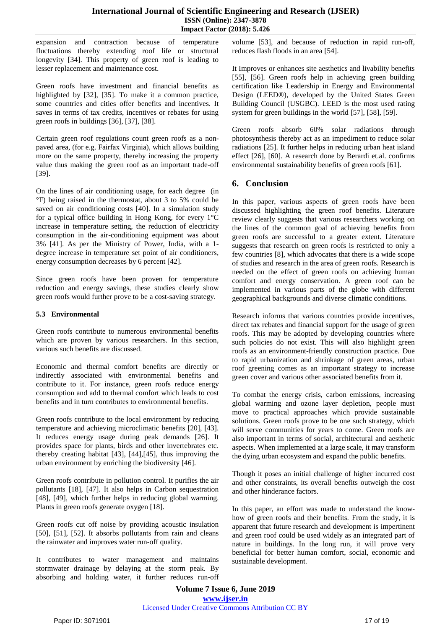expansion and contraction because of temperature fluctuations thereby extending roof life or structural longevity [34]. This property of green roof is leading to lesser replacement and maintenance cost.

Green roofs have investment and financial benefits as highlighted by [32], [35]. To make it a common practice, some countries and cities offer benefits and incentives. It saves in terms of tax credits, incentives or rebates for using green roofs in buildings [36], [37], [38].

Certain green roof regulations count green roofs as a nonpaved area, (for e.g. Fairfax Virginia), which allows building more on the same property, thereby increasing the property value thus making the green roof as an important trade-off [39].

On the lines of air conditioning usage, for each degree (in °F) being raised in the thermostat, about 3 to 5% could be saved on air conditioning costs [40]. In a simulation study for a typical office building in Hong Kong, for every 1°C increase in temperature setting, the reduction of electricity consumption in the air-conditioning equipment was about 3% [41]. As per the Ministry of Power, India, with a 1 degree increase in temperature set point of air conditioners, energy consumption decreases by 6 percent [42].

Since green roofs have been proven for temperature reduction and energy savings, these studies clearly show green roofs would further prove to be a cost-saving strategy.

#### **5.3 Environmental**

Green roofs contribute to numerous environmental benefits which are proven by various researchers. In this section, various such benefits are discussed.

Economic and thermal comfort benefits are directly or indirectly associated with environmental benefits and contribute to it. For instance, green roofs reduce energy consumption and add to thermal comfort which leads to cost benefits and in turn contributes to environmental benefits.

Green roofs contribute to the local environment by reducing temperature and achieving microclimatic benefits [20], [43]. It reduces energy usage during peak demands [26]. It provides space for plants, birds and other invertebrates etc. thereby creating habitat [43], [44],[45], thus improving the urban environment by enriching the biodiversity [46].

Green roofs contribute in pollution control. It purifies the air pollutants [18], [47]. It also helps in Carbon sequestration [48], [49], which further helps in reducing global warming. Plants in green roofs generate oxygen [18].

Green roofs cut off noise by providing acoustic insulation [50], [51], [52]. It absorbs pollutants from rain and cleans the rainwater and improves water run-off quality.

It contributes to water management and maintains stormwater drainage by delaying at the storm peak. By absorbing and holding water, it further reduces run-off volume [53], and because of reduction in rapid run-off, reduces flash floods in an area [54].

It Improves or enhances site aesthetics and livability benefits [55], [56]. Green roofs help in achieving green building certification like Leadership in Energy and Environmental Design (LEED®), developed by the United States Green Building Council (USGBC). LEED is the most used rating system for green buildings in the world [57], [58], [59].

Green roofs absorb 60% solar radiations through photosynthesis thereby act as an impediment to reduce solar radiations [25]. It further helps in reducing urban heat island effect [26], [60]. A research done by Berardi et.al. confirms environmental sustainability benefits of green roofs [61].

## **6. Conclusion**

In this paper, various aspects of green roofs have been discussed highlighting the green roof benefits. Literature review clearly suggests that various researchers working on the lines of the common goal of achieving benefits from green roofs are successful to a greater extent. Literature suggests that research on green roofs is restricted to only a few countries [8], which advocates that there is a wide scope of studies and research in the area of green roofs. Research is needed on the effect of green roofs on achieving human comfort and energy conservation. A green roof can be implemented in various parts of the globe with different geographical backgrounds and diverse climatic conditions.

Research informs that various countries provide incentives, direct tax rebates and financial support for the usage of green roofs. This may be adopted by developing countries where such policies do not exist. This will also highlight green roofs as an environment-friendly construction practice. Due to rapid urbanization and shrinkage of green areas, urban roof greening comes as an important strategy to increase green cover and various other associated benefits from it.

To combat the energy crisis, carbon emissions, increasing global warming and ozone layer depletion, people must move to practical approaches which provide sustainable solutions. Green roofs prove to be one such strategy, which will serve communities for years to come. Green roofs are also important in terms of social, architectural and aesthetic aspects. When implemented at a large scale, it may transform the dying urban ecosystem and expand the public benefits.

Though it poses an initial challenge of higher incurred cost and other constraints, its overall benefits outweigh the cost and other hinderance factors.

In this paper, an effort was made to understand the knowhow of green roofs and their benefits. From the study, it is apparent that future research and development is impertinent and green roof could be used widely as an integrated part of nature in buildings. In the long run, it will prove very beneficial for better human comfort, social, economic and sustainable development.

**Volume 7 Issue 6, June 2019 www.ijser.in** Licensed Under Creative Commons Attribution CC BY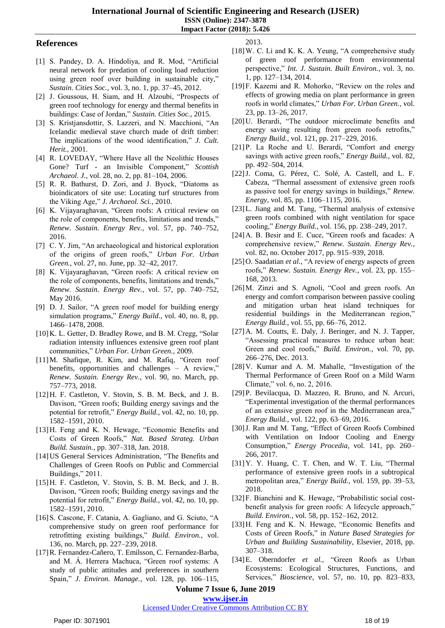**International Journal of Scientific Engineering and Research (IJSER) ISSN (Online): 2347-3878 Impact Factor (2018): 5.426**

#### **References**

- [1] S. Pandey, D. A. Hindoliya, and R. Mod, "Artificial neural network for predation of cooling load reduction using green roof over building in sustainable city," *Sustain. Cities Soc.*, vol. 3, no. 1, pp. 37–45, 2012.
- [2] J. Goussous, H. Siam, and H. Alzoubi, "Prospects of green roof technology for energy and thermal benefits in buildings: Case of Jordan," *Sustain. Cities Soc.*, 2015.
- [3] S. Kristjansdottir, S. Lazzeri, and N. Macchioni, "An Icelandic medieval stave church made of drift timber: The implications of the wood identification," *J. Cult. Herit.*, 2001.
- [4] R. LOVEDAY, "Where Have all the Neolithic Houses Gone? Turf - an Invisible Component," *Scottish Archaeol. J.*, vol. 28, no. 2, pp. 81–104, 2006.
- [5] R. R. Bathurst, D. Zori, and J. Byock, "Diatoms as bioindicators of site use: Locating turf structures from the Viking Age," *J. Archaeol. Sci.*, 2010.
- [6] K. Vijayaraghavan, "Green roofs: A critical review on the role of components, benefits, limitations and trends," *Renew. Sustain. Energy Rev.*, vol. 57, pp. 740–752, 2016.
- [7] C. Y. Jim, "An archaeological and historical exploration of the origins of green roofs," *Urban For. Urban Green.*, vol. 27, no. June, pp. 32–42, 2017.
- [8] K. Vijayaraghavan, "Green roofs: A critical review on the role of components, benefits, limitations and trends," *Renew. Sustain. Energy Rev.*, vol. 57, pp. 740–752, May 2016.
- [9] D. J. Sailor, "A green roof model for building energy simulation programs," *Energy Build.*, vol. 40, no. 8, pp. 1466–1478, 2008.
- [10]K. L. Getter, D. Bradley Rowe, and B. M. Cregg, "Solar radiation intensity influences extensive green roof plant communities," *Urban For. Urban Green.*, 2009.
- [11]M. Shafique, R. Kim, and M. Rafiq, "Green roof benefits, opportunities and challenges – A review," *Renew. Sustain. Energy Rev.*, vol. 90, no. March, pp. 757–773, 2018.
- [12]H. F. Castleton, V. Stovin, S. B. M. Beck, and J. B. Davison, "Green roofs; Building energy savings and the potential for retrofit," *Energy Build.*, vol. 42, no. 10, pp. 1582–1591, 2010.
- [13]H. Feng and K. N. Hewage, "Economic Benefits and Costs of Green Roofs," *Nat. Based Strateg. Urban Build. Sustain.*, pp. 307–318, Jan. 2018.
- [14]US General Services Administration, "The Benefits and Challenges of Green Roofs on Public and Commercial Buildings," 2011.
- [15]H. F. Castleton, V. Stovin, S. B. M. Beck, and J. B. Davison, "Green roofs; Building energy savings and the potential for retrofit," *Energy Build.*, vol. 42, no. 10, pp. 1582–1591, 2010.
- [16]S. Cascone, F. Catania, A. Gagliano, and G. Sciuto, "A comprehensive study on green roof performance for retrofitting existing buildings," *Build. Environ.*, vol. 136, no. March, pp. 227–239, 2018.
- [17]R. Fernandez-Cañero, T. Emilsson, C. Fernandez-Barba, and M. Á. Herrera Machuca, "Green roof systems: A study of public attitudes and preferences in southern Spain," *J. Environ. Manage.*, vol. 128, pp. 106–115,

2013.

- [18]W. C. Li and K. K. A. Yeung, "A comprehensive study of green roof performance from environmental perspective," *Int. J. Sustain. Built Environ.*, vol. 3, no. 1, pp. 127–134, 2014.
- [19]F. Kazemi and R. Mohorko, "Review on the roles and effects of growing media on plant performance in green roofs in world climates," *Urban For. Urban Green.*, vol. 23, pp. 13–26, 2017.
- [20]U. Berardi, "The outdoor microclimate benefits and energy saving resulting from green roofs retrofits," *Energy Build.*, vol. 121, pp. 217–229, 2016.
- [21]P. La Roche and U. Berardi, "Comfort and energy savings with active green roofs," *Energy Build.*, vol. 82, pp. 492–504, 2014.
- [22]J. Coma, G. Pérez, C. Solé, A. Castell, and L. F. Cabeza, "Thermal assessment of extensive green roofs as passive tool for energy savings in buildings," *Renew. Energy*, vol. 85, pp. 1106–1115, 2016.
- [23] L. Jiang and M. Tang, "Thermal analysis of extensive green roofs combined with night ventilation for space cooling," *Energy Build.*, vol. 156, pp. 238–249, 2017.
- [24]A. B. Besir and E. Cuce, "Green roofs and facades: A comprehensive review," *Renew. Sustain. Energy Rev.*, vol. 82, no. October 2017, pp. 915–939, 2018.
- [25] O. Saadatian *et al.*, "A review of energy aspects of green roofs," *Renew. Sustain. Energy Rev.*, vol. 23, pp. 155– 168, 2013.
- [26]M. Zinzi and S. Agnoli, "Cool and green roofs. An energy and comfort comparison between passive cooling and mitigation urban heat island techniques for residential buildings in the Mediterranean region," *Energy Build.*, vol. 55, pp. 66–76, 2012.
- [27]A. M. Coutts, E. Daly, J. Beringer, and N. J. Tapper, "Assessing practical measures to reduce urban heat: Green and cool roofs," *Build. Environ.*, vol. 70, pp. 266–276, Dec. 2013.
- [28]V. Kumar and A. M. Mahalle, "Investigation of the Thermal Performance of Green Roof on a Mild Warm Climate," vol. 6, no. 2, 2016.
- [29]P. Bevilacqua, D. Mazzeo, R. Bruno, and N. Arcuri, "Experimental investigation of the thermal performances of an extensive green roof in the Mediterranean area," *Energy Build.*, vol. 122, pp. 63–69, 2016.
- [30]J. Ran and M. Tang, "Effect of Green Roofs Combined with Ventilation on Indoor Cooling and Energy Consumption," *Energy Procedia*, vol. 141, pp. 260– 266, 2017.
- [31]Y. Y. Huang, C. T. Chen, and W. T. Liu, "Thermal performance of extensive green roofs in a subtropical metropolitan area," *Energy Build.*, vol. 159, pp. 39–53, 2018.
- [32] F. Bianchini and K. Hewage, "Probabilistic social costbenefit analysis for green roofs: A lifecycle approach," *Build. Environ.*, vol. 58, pp. 152–162, 2012.
- [33]H. Feng and K. N. Hewage, "Economic Benefits and Costs of Green Roofs," in *Nature Based Strategies for Urban and Building Sustainability*, Elsevier, 2018, pp. 307–318.
- [34]E. Oberndorfer *et al.*, "Green Roofs as Urban Ecosystems: Ecological Structures, Functions, and Services," *Bioscience*, vol. 57, no. 10, pp. 823–833,

**Volume 7 Issue 6, June 2019**

**www.ijser.in**